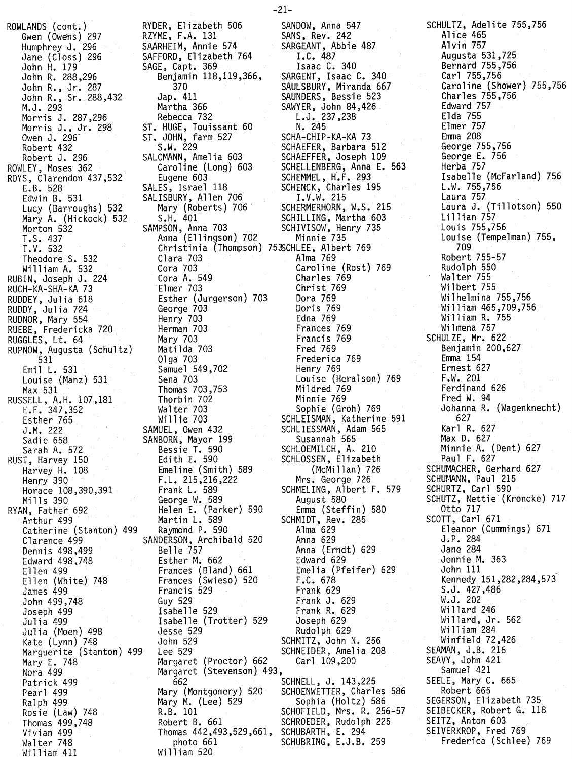ROWLANDS (cont.) RYDER. Elizabeth 506 Gwen (Owens) 297<br>Humphrey J. 296 Humphrey J. 296 SAARHEIM. Annie 574 Mampin ey 3: 226<br>
Jane (Closs) 296 SAFFORD, Elizabeth 764<br>
John R. 288,296 Benjamin 118,119,366 John H. 179 SAGE. Capt. 369 John R. 288.296 Benjamin 118.119.366. John R•• Jr. 287 370 John R•• Sr. 288.432 Jap. 411 M.J. 293 Martha 366 Morris J. 287,296<br>Morris J., Jr. 298 Morris J., Jr. 298 ST. HUGE, Touissant 60 Owen J. 296 ST. JOHN. farm 527 Robert 432 S.W. 229 Robert J. 296 SALCMANN. Amelia 603 ROWLEY. Moses 362 Caroline (Long) 603 ROYS, Clarendon 437,532 Eugene 603<br>E.B. 528 SALES, Israel 118 E.B. 528 SALES. Israel 118 Edwin B. 531 SALISBURY. Allen 706 Lucy (Barroughs) 532 Mary (Roberts) 706 Mary A. (Hickock) 532<br>Morton 532 Morton 532 SAMPSON. Anna 703 T.S. 437 Anna (Ellingson) 702 Theodore S. 532 Clara 703 William A. 532 Cora 703 RUBIN, Joseph J. 224 Cora A. 549<br>RUCH-KA-SHA-KA 73 E1mer 703 RUCH-KA-SHA-KA 73<br>RUDDEY, Julia 618 RUDDY. Julia 724 George 703 RUDNOR. Mary 554 Henry 703 RUEBE. Fredericka 720 Herman 703 RUGGLES, Lt. 64 RUPNOW, Augusta (Schultz) 531 Olga 703 Louise (Manz) 531<br>Max 531 RUSSELL, A.H. 10/,181 Thorbin 702 E.F. 347.352 Walter 703 Esther 765 Willie 703 J.M. 222 SAMUEL. Owen 432 Sadie 658 SANBORN. Mayor 199 Sarah A. 572 Bessie L. 590 Sadle 658<br>Sarah A. 572<br>RUST, Harvey 150<br>Harvey H. 108<br>Many 300 Harvey H. 108 Emeline (Smith) 589 Henry 390 F.L. 215,216,222<br>Horace 108.390,391 Frank L. 589 Horace 108,390,391<br>Mills 390 RYAN. Father 692 Helen E. (Parker) 590 Catherine (Stanton) 499 Raymond P. 590 Clarence 499 SANDERSON. Archibald 520 Dennis 498,499<br>Edward 498,748 Esther M. 662 Edward 498,748<br>Ellen 499 Ellen 499 Frances (Bland) 661<br>Ellen (White) 748 Frances (Swieso) 520 Ellen (White) 748 Frances (Swieso) 520<br>James 499 Francis 529 John 499.748 Guy 529 Joseph 499<br>Julia 499 Julia (Moen) 498 Jesse 529 Kate (Lynn) 748 John 529 Marguerite (Stanton) 499<br>Mary E. 748 Mary E. 748 Margaret (Proctor) 662<br>Nora 499 Margaret (Stevenson) 4 Ralph 499 Mary M. (Lee) 529 Sophia (Holtz) 586 Vivian 499<br>Walter 748 Thomas 442,493,529,661, SCHUBARTH, E. 294<br>Walter 748 Thomas 462,493,529,661 SCHUBRING, E.J.B. William 411

 $-21-$ T.V. 532 Christinia (Thompson) 75~CHLEE. Albert 769 Esther (Jurgerson) 703<br>George 703 Samuel 549,702<br>Sena 703 Thomas 703,753<br>Thorbin 702 George W. 589 Martin L. 589 Francis 529<br>Guy 529 Isabelle (Trotter) 529<br>Jesse 529 Margaret (Stevenson) 493,<br>.662 Patrick 499 662 SCHNELL. J. 143.225 Pearl 499 Mary (Montgomery) 520 SCHOENWETTER. Charles 586 Rosie (Law) 748 R.B. 101 SCHOFIELD. Mrs. R. 256-57 photo 661 SCHUBRING, E.J.B. 259<br>William 520

SCHROEDER, Rudolph 225 SANDOW. Anna 547 SANS, Rev. 242 SARGEANT. Abbie 487 I.C. 487 Isaac C. 340 SARGENT. Isaac C. 340 SAULSBURY. Miranda 667 SAUNDERS. Bessie 523 SAWYER. John 84.426 L.J.237.238 N. 245 SCHA-CHIP-KA-KA 73 SCHAEFER. Barbara 512 SCHAEFFER. Joseph 109 SCHELLENBERG. Anna E. 563 SCHEMMEL. H.F. 293 SCHENCK. Charles 195 I.V.W. 215 I.V.W. 215<br>SCHERMERHORN, W.S. 215 SCHILLING. Martha 603 SCHIVISOW. Henry 735 Minnie 735 Alma 769 Caroline (Rost) 769 Charles 769 Christ 769 Dora 769 Doris 769 Edna 769 Frances 769 Francis 769 Fred 769 Frederica 769 Henry 769 Louise (Heralson) 769 Mildred 769 Minnie 769 Sophie (Groh) 769 SCHLEISMAN. Katherine 591 SCHLIESSMAN. Adam 565 Susannah 565 SCHLOEMILCH, A. 210 SCHLOSSEN. Elizabeth (McMillan) 726 Mrs. George 726 SCHMELING. Albert F. 579 August 580 Emma (Steffin) 580 SCHMIDT. Rev. 285 Alma 629 Anna 629 Anna (Erndt) 629 Edward 629 Emelia (Pfeifer) 629 F.C. 678 Frank 629 Frank J. 629 Frank R. 629 Joseph 629 Rudolph 629 SCHMITZ. John N. 256 SCHNEIDER. Amelia 208 Carl 109.200

SCHULTZ. Adelite 755.756 Alice 465 Alvin 757 Augusta 531.725 Bernard 755.756 Carl 755.756 Caroline (Shower) 755.756 Charles 755.756 Edward 757 Elda 755 Elmer 757 Emma 208 George 755.756 George E. 756 Herba 757 Isabelle (McFarland) 756 L.W. 755.756 Laura 757 Laura J. (Tillotson) 550 Lillian 757 Louis 755.756 Louise (Tempelman) 755. 709 Robert 755-57 Rudolph 550  $\sim$ Walter 755 Wilbert 755 Wilhelmina 755,756 William 465.709.756 William R. 755 Wilmena 757 SCHULZE. Mr. 622 Benjamin 200.627 Emma 154 Ernest 627 F.W. 201 Ferdinand 626 Fred W. 94 Johanna R. (Wagenknecht) 627 Karl R. 627 Max D. 627 Minnie A. (Dent) 627 Paul F. 627 SCHUMACHER. Gerhard 627 SCHUMANN. Paul 215 SCHURTZ. Carl 590 SCHUTZ. Nettie (Kroncke) 717 Otto 717 SCOTT. Carl 671 Eleanor (Cummings) 671 J.P. 284 Jane 284 Jennie M. 363 John 111 Kennedy 151.282.284.573 S.J. 427.486 W.J. 202 Willard 246 Willard. Jr. 562 Wi11iam 284 Winfield 72.426 SEAMAN. J.B. 216 SEAVY. John 421 Samuel 421 SEELE. Mary C. 665 Robert 665 SEGERSON. Elizabeth 735 SEIBECKER. Robert G. 118 SEITZ. Anton 603 SEIVERKROP. Fred 769 Frederica (Schlee) 769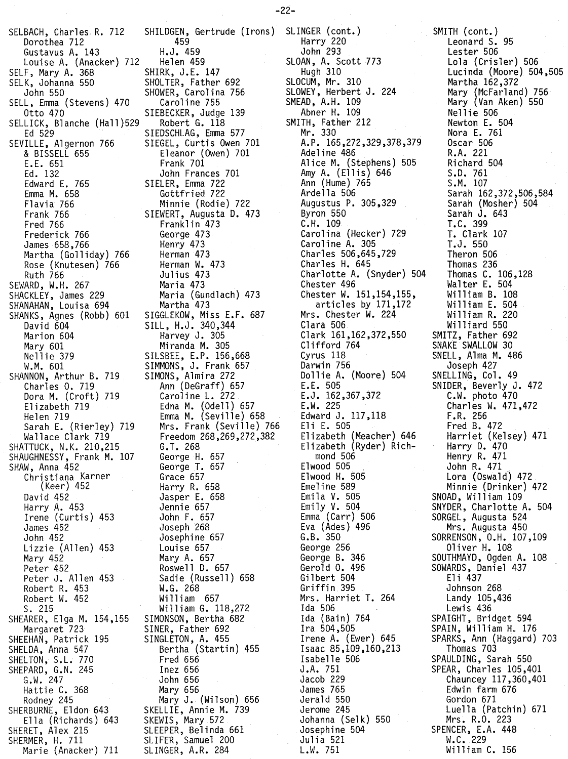SELBACH, Charles R. 712 SHILDGEN, Gertrude (Irons) SLINGER (cont.) Dorothea 712 459 Gustavus A. 143 H.J. 459 Louise A. (Anacker) 712 Helen 459 SELF, Mary A. 368<br>SELK, Johanna 550 SELK, Johanna 550 SHOLTER, Father 692 SELL, Emma (Stevens) 470<br>Otto 470 SELLICK, Blanche (Hall)529<br>Ed 529 SEVILLE, Algernon 766 SIEGEL, Curtis Owen 701 & BISSELL 655 Eleanor (Owen) 701 E.E. 651 Frank 701<br>Ed. 132 John Fran Edward E. 765 SIELER, Emma 722 Emma M. 658 Gottfried 722 Flavia 766 Minnte (Rodie) 722 Fred 766 Franklin 473<br>Frederick 766 Frederick 660rge 473 Frederick 766 George 473 James 658,766 Henry 473 Martha (Golliday) 766 Herman 473<br>Rose (Knutesen) 766 Herman W. 473 Rose (Knutesen) 766 Ruth 766 Julius 473 SEWARD, W.H. 267 Maria 473<br>SHACKLEY, James 229 Maria (Gundlach) 473 SHACKLEY, James 229 Maria (Gun<br>SHANAHAN, Louisa 694 Martha 473 SHANAHAN, Louisa 694<br>SHANKS, Agnes (Robb) 601 David 604 SILL, H.J. 340,344 Marion 604 Harvey J. 305 Mary 601 Miranda M. 305 W.M. 601 SIMMONS, J. Frank 657<br>NNON, Arthur B. 719 SIMONS, Almira 272 SHANNON, Arthur B. 719 Charles O. 719 Ann (DeGraff) 657 Dora M. (Croft) 719 Elizabeth 719 Edna M. (Odell) 657 Helen 719 Emma M. (Seville) 658 SHATTUCK, N.K. 210,215 G.T. 268<br>SHAUGHNESSY, Frank M. 107 George H. 657 SHAUGHNESSY, Frank M. 107 George H. 657 SHAW, Anna 452 George T. 657 Christiana Karner<br>(Keer) 452 David 452 Jasper E. 658 Harry A. 453 Jennie 657 Irene (Curtis) 453<br>James 452 James 452 Joseph 268 Lizzie (Allen) 453<br>Mary 452 Mary 452 Mary A. 657 Peter 452 Roswell D. 657<br>Peter J. Allen 453 Sadie (Russell Robert R. 453 W.G. 268 Robert W. 452 S. 215 William G. 118,272 SHEARER, Elga M. 154,155 Margaret 723 SINER, Father 692<br>EHAN, Patrick 195 SINGLETON, A. 455 SHEEHAN, Patrick 195 SHELDA, Anna 547 Bertha (Startin) 455<br>SHELTON, S.L. 770 Fred 656 SHELTON, S.L. 770 Fred 656<br>SHEPARD, G.N. 245 1nez 656 SHEPARD, G.N. 245 G.W. 247 John 656 Hattie C. 368 Mary 656 Rodney 245 Mary J. (Wilson) 656 SHERBURNE, Eldon 643 SKELLIE, Annie M. 739<br>Ella (Richards) 643 SKEWIS, Mary 572 Ella (Richards) 643 SHERET, Alex 215 SLEEPER, Belinda 661 SHERMER, H. 711 SLIFER, Samuel 200<br>Marie (Anacker) 711 SLINGER, A.R. 284 Marie (Anacker) 711

SHOWER, Carolina 756<br>Caroline 755 SIEBECKER, Judge 139<br>Robert G. 118 SIEDSCHLAG, Emma 577 John Frances 701 SIEWERT, Augusta D. 473 SIGGLEKOW, Miss E.F. 687 SILSBEE, E.P. 156,668 Sarah E. (Rierley) 719 Mrs. Frank (Seville) 766 Wallace Clark 719 Freedom 268,269,272,382 Harry R. 658 Josephine 657<br>Louise 657 Sadie (Russell) 658<br>W.G. 268

Harry 220 John 293 SLOAN, A. Scott 773 Hugh 310 SLOCUM, Mr. 310 SLOWEY, Herbert J. 224 SMEAD, A.H. 109 Abner H. 109 SMITH, Father 212 Mr. 330 A.P. 165,272,329,378,379 Adeline 486 Alice M. (Stephens) 505 Amy A. (Ellis) 646 Ann (Hume) 765 Ardella 506 Augustus P. 305,329 Byron 550 C.H. 109 Carolina (Hecker) 729 Caroline A. 305 Charles 506,645,729 Charles H. 645 Charlotte A. (Snyder) 504 Chester 496 Chester W. 151,154,155, articles by 171,172 Mrs. Chester W. 224 Clara 506 Clark 161,162,372,550 Clifford 764 Cyrus 118 Darwin 756 Dollie A. (Moore) 504 E.E. 505 E.J. 162,367,372 E.W. 225 Edward J. 117,118 Eli E. 505 Elizabeth (Meacher) 646 Elizabeth (Ryder) Richmond 506 Elwood 505 Elwood H. 505 Emeline 589 Emila V. 505 Emily V. 504 Emma (Carr) 506 Eva (Ades) 496 G.B. 350 George 256 George B. 346 Gerold O. 496 Gilbert 504 Griffin 395 Mrs. Harriet T. 264 Ida 506 Ida (Bain) 764 Ira 504,505 Irene A. (Ewer) 645 Isaac 85,109,160,213 Isabelle 506 J .A. 751 Jacob 229 James 765 Jerald 550 Jerome 245 Johanna (Selk) 550 Josephine 504 Julia 521 L.W. 751

SMITH (cont.) Leonard S. 95 Lester 506 Lola (Crisler) 506 Lucinda (Moore) 504,505 Martha 162,372 Mary (McFarland) 756 Mary (Van Aken) 550 Nellie 506 Newton E. 504 Nora E. 761 Oscar 506 R.A. 221 Richard 504 S.D. 761 S.M. 107 Sarah 162,372,506,584 Sarah (Mosher) 504 Sarah J. 643 T.C. 399 I. Clark <sup>107</sup> T.J. 550 Theron 506 Thomas 236 Thomas C. 106,128 Walter E. 504 Wi11iam B. 108 Wi11iam E. 504 Wi11iam R. 220 Williard 550 SMITZ, Father 692 SNAKE SWALLOW 30 SNELL, Alma M. 486 Joseph 427 SNELLING, Col. 49 SNIDER, Beverly J. 472 C.W. photo 470 Charles W. 471,472 F.R. 256 Fred B. 472 Harriet (Kelsey) 471 Harry D. 470 Henry R. 471 John R. 471 Lora (Oswald) 472 Minnie (Drinker) 472 SNOAD, William 109 SNYDER, Charlotte A. 504 SORGEL. Augusta 524 Mrs. Augusta 450 SORRENSON, O.H. 107,109 Oliver H. 108 SOUTHMAYD, Ogden A. 108 SOWARDS, Daniel 437 Eli 437 Johnson 268 Landy 105,436 Lewis 436 SPAIGHT, Bridget 594 SPAIN, William H. 176 SPARKS, Ann (Haggard) 703 Thomas 703 SPAULDING, Sarah 550 SPEAR, Charles 105,401 Chauncey 117,360,401 Edwin farm 676 Gordon 671 Luella (Patchin) 671 Mrs. R.O. 223 SPENCER, E.A. 448 W.C. 229 William C. 156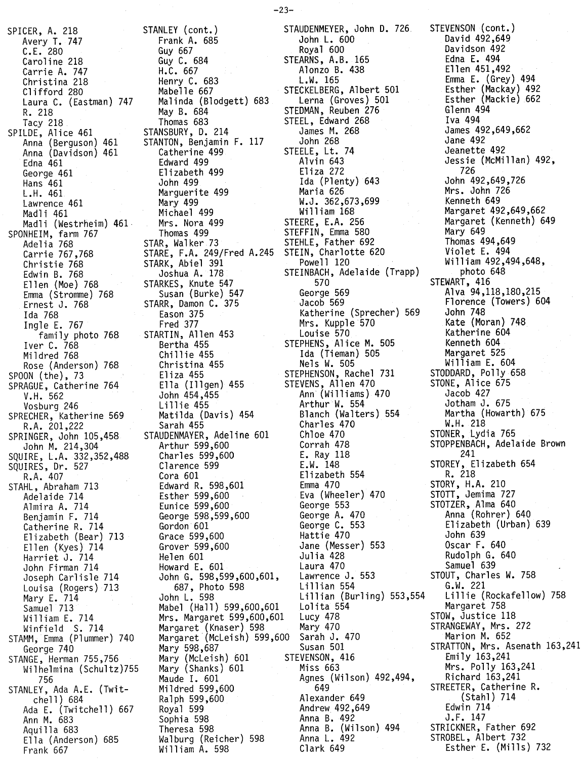SPICER, A. 218 Avery T. 747 C.E. 280 Caroline 218 Carrie A. 747 Christina 218 Clifford 280 Laura C. (Eastman) 747 R. 218 Tacy 218 SPILDE, Alice 461 Anna (Berguson) 461 Anna (Davidson) 461 Edna 461 George 461 Hans 461 L.H. 461 Lawrence 461 Madli 461 Madli (Westrheim) 461· SPONHEIM, farm 767 Adelia 768 Carrie 767,768 Christie 768 Edwin B. 768 Ellen (Moe) 768 Emma (Stromme) 768 Ernest J. 768 Ida 768 Ingle E. 767 family photo 768 Iver C. 768 Mil dred 768 Rose (Anderson) 768 SPOON (the), 73 SPRAGUE, Catherine 764 V.H. 562 Vosburg 246 SPRECHER, Katherine 569 R.A. 201,222 SPRINGER, John 105,458 John M. 214,304 SQUIRE, L.A. 332,352,488 SQUIRES, Dr. 527 R.A. 407 STAHL, Abraham 713 Adelaide 714 Almira A. 714 Benjamin F. 714 Catherine R. 714 Elizabeth (Bear) 713 Ellen (Kyes) 714 Harriet J. 714 John Fi rman 714 Joseph Carlisle 714 Louisa (Rogers) 713 Mary E. 714 Samuel 713 William E. 714 Winfield S. 714 STAMM, Emma (Plummer) 740 George 740 STANGE, Herman 755,756 Wilhelmina (Schultz)755 756 STANLEY, Ada A.E. (Twitchell) 684 Ada E. (Twitchell) 667 Ann M. 683 Aqui lla 683 Ella (Anderson) 685 Frank 667

STANLEY (cont.) Frank A. 685 Guy 667 Guy C. 684 H.C. 667 Henry C. 683 Mabelle 667 Malinda (Blodgett) 683 May B. 684 Thomas 683 STANSBURY, D. 214 STANTON, Benjamin F. 117 Catherine 499 Edward 499 Elizabeth 499 John 499 Marguerite 499 Mary 499 Michael 499 Mrs. Nora 499 Thomas 499 STAR, Walker 73 STARE, F.A. 249/Fred A.245 STARK, Abiel 391 Joshua A. 178 STARKES, Knute 547 Susan (Burke) 547 STARR, Damon C. 375 Eason 375 Fred 377 STARTIN, Allen 453 Bertha 455 Chi 11 ie 455 Christina 455 Eliza 455 Ella (Illgen) 455 John 454,455 Lill ie 455 Matilda (Davis) 454 Sarah 455 STAUDENMAYER, Adeline 601 Arthur 599,600 Charles 599,600 Clarence 599 Cora 601 Edward R. 598,601 Esther 599,600  $\sim$   $\sim$ Eunice 599,600 George 598,599,600 Gordon 601 Grace 599,600 Grover 599,600 Helen 601 Howard E. 601 John G. 598,599,600,601, 687, Photo 598 John L. 598 Mabel (Hall) 599,600,601 Mrs. Margaret 599,600,601 Margaret (Knaser) 598 Margaret (McLeish) 599,600 Mary 598,687 Mary (McLeish) 601 Mary (Shanks) 601 Maude I. 601 Mildred 599,600 Ralph 599,600 Royal 599 Sophia 598 Theresa 598 Walburg (Reicher) 598 William A. 598

STAUDENMEYER, John D. 726. John L. 600 Royal 600 STEARNS, A.B. 165 Alonzo B. 438 L.W. 165 STECKELBERG, Albert 501 Lerna (Groves) 501 STEDMAN, Reuben 276 STEEL, Edward 268 James M. 268 John 268 STEELE, Lt. 74 Alvin 643 Eliza 272 Ida (Plenty) 643 Maria 626 W.J. 362,673,699 William 168 STEERE, E.A. 256 STEFFIN, Emma 580 STEHLE, Father 692 STEIN, Charlotte 620 Powell 120 STEINBACH, Adelaide (Trapp) 570 George 569 Jacob 569 Katherine (Sprecher) 569 Mrs. Kupple 570 Louise 570 STEPHENS, Alice M. 505 Ida (Tieman) 505 Nels W. 505 STEPHENSON, Rachel 731 STEVENS, Allen 470 Ann (Williams) 470 Arthur W. 554 Blanch (Walters) 554 Charles 470 Chloe 470 Corrah 478 E. Ray 118 E.W. 148 Elizabeth 554 Emma 470 Eva (Wheeler) 470 George 553 George A. 470 George C. 553 Hattie 470 Jane (Messer) 553 Julia 428 Laura 470 Lawrence J. 553 Lillian 554 Lillian (Burling) 553,554 Lolita 554 Lucy 478<br>Mary 470 Mary 470 Sarah J. 470 Susan 501 STEVENSON, 416 Miss 663 Agnes (Wilson) 492,494, 649 Alexander 649 Andrew 492,649 Anna B. 492 Anna B. (Wilson) 494 Anna L. 492 Clark 649

 $-23-$ 

STEVENSON (cont.) David 492,649 Davidson 492 Edna E. 494 Ell en 451,492 Emma E. (Grey) 494 Esther (Mackay) 492 Esther (Mackie) 662 Glenn 494 Iva 494 James 492,649,662 Jane 492 Jeanette 492 Jessie (McMillan) 492, 726 John 492,649,726 Mrs. John 726 Kenneth 649 Margaret 492,649,662 Margaret (Kenneth) 649 Mary 649 Thomas 494,649 Violet E. 494 William 492,494,648, photo 648 STEWART, 416 Alva 94,118,180,215 Florence (Towers) 604 John 748 Kate (Moran) 748 Katherine 604 Kenneth 604 Margaret 525 William E. 604 STODDARD, Polly 658 STONE, Alice 675 Jacob 427 Jotham J. 675 Martha (Howarth) 675 W.H. 218 STONER, Lydia 765 STOPPENBACH, Adelaide Brown 241 STOREY, Elizabeth 654 R. 218 STORY, H.A. 210 STOTT, Jemima 727 STOTZER, Alma 640 Anna (Rohrer) 640 Elizabeth (Urban) 639 John 639 Oscar F. 640 Rudolph G. 640 Samuel 639 STOUT, Charles W. 758 G.W. 221 Lillie (Rockafellow) 758 Margaret 758 STOW, Justice 118 STRANGEWAY, Mrs. 272 Marion M. 652 STRATTON, Mrs. Asenath 163,241 Emily 163,241 Mrs. Polly 163,241 Richard 163,241 STREETER, Catherine R. (Stahl) 714 Edwin 714 J.F. 147 STRICKNER, Father 692 STROBEL, Albert 732 Esther E. (Mills) 732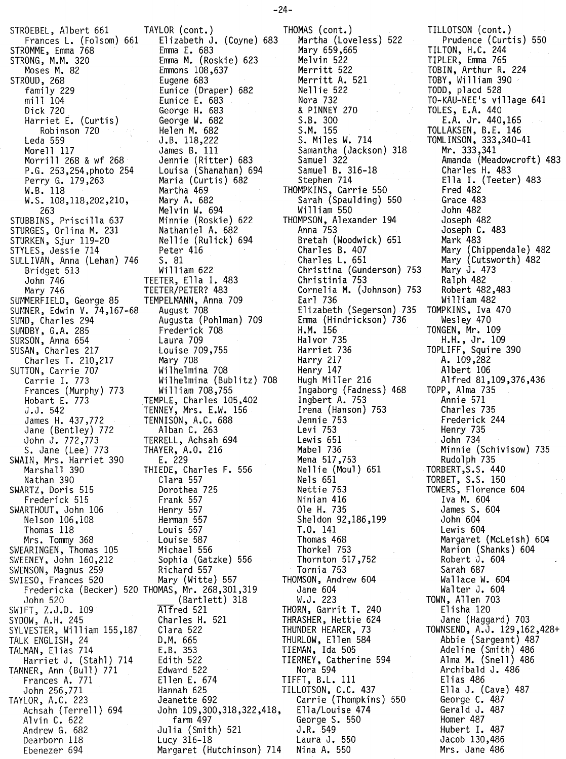SIRUEBEL, AIDEMI 661 TAYLOR (CONT.) THOMAS (CONT.) STROMME, Emma 768 Emma E. 683 Mary 659,665 STRONG, M.M. 320 Emma M. (Roskie) 623 Melvin 522 STROUD, 268 Eugene 683 Merritt A. 521 Perry G. 179,263 Maria (Curtis) 682 Stephen 714 STUBBINS, Priscilla 637 Minnie (Roskie) 622 THOMPSON, A<br>STURGES, Orlina M. 231 Nathaniel A. 682 Anna 753 STURGES, Orlina M. 231 Nathaniel A. 682<br>STURKEN, Sjur 119-20 Nellie (Rulick) 694 STYLES, Jessie 714 Peter 416 Charles B. 407 SULLIVAN, Anna (Lehan) 746 S. 81<br>Bridget 513 William 622 SUMMERFIELD, George 85 TEMPELMANN, Anna 709 Tearl 736 SUMNER, Edwin V. 74,167-68 August 708 Elizabeth (Segerson) 73<br>SUND, Charles 294 Augusta (Pohlman) 709 Emma (Hindrickson) 736<br>SUNDBY, G.A. 285 Frederick 708 H.M. 156 SUND, Charles 294 Augusta (Pohlman) 709 Emma (Hindrickson) 736 SUNDBY, G.A. 285 Frederick 708 H.M. 156 SURSON, Anna 654 Laura 709 Halvor 735 SUSAN, Charles 217 Louise 709,755 Harriet 736 SUTTON, Carrie 707 Wilhelmina 708 Henry 147 SWAIN, Mrs. Harriet 390 E. 229 Mena 517,753 Nathan 390 Clara 557 Nels 651<br>SWARTZ, Doris 515 Dorothea 725 Nettie 753 SWARTZ, Doris 515 Dorothea 725 Nettie 753 SWARTHOUT, John 106 Henry 557 Ole H. 735 SWEARINGEN, Thomas 105 Michael 556 Thorkel 753 SWEENEY, John 160,212 Sophia (Gatzke) 556 Thornton 517,752 SWENSON, Magnus 259 Richard 557 Tornia 753 SWIESO, Frances 520 Mary (Witte) 557 IHOMSON, Andrew 604 SWIFT, Z.J.D. 109 Alfred 521 THORN, Garrit T. 240 SYDOW, A.H. 245 Charles H. 521 THRASHER, Hettie 624 SYLVESTER, William 155,187 Clara 52:<br>TALK ENGLISH, 24 D.M. 665 TALMAN, Elias 714 E.B. 353 TIEMAN, Ida 505 TANNER, Ann (Bull) 771 Edward 522 Nora 594<br>Frances A. 771 Ellen E. 674 TIFFT, B.L. 111

Frances L. (Folsom) 661 Elizabeth J. (Coyne) 683 Martha (Loveless) 522 Moses M. 82 Emmons 108,637 Merritt 522 family 229 Eunice (Draper) 682 Nellie 522  $m111$  104  $\phantom{m111}$  Eunice E. 683  $\phantom{m111}$  Nora 732 Dick 720 George H. 683 & PINNEY 270 Harriet E. (Curtis) George W. 682 S.B. 300 Robinson 720 Helen M. 682 S.M. 155<br>Leda 559 J.B. 118,222 S. Miles W. 714<br>Monell 117 Leda 559 J.B. 118,222 S. Miles W. 714 Morell 117 James B. 111 Samantha (Jackson) 318 Morrill 268 & wf 268 dennie (Ritter) 683 Samuel 322<br>P.G. 253,254,photo 254 Louisa (Shanahan) 694 Samuel B. 316-18 P.G. 253,254,photo 254 Louisa (Shanahan) 694 Samuel B. 31<br>Perry G. 179,263 Maria (Curtis) 682 Stephen 714 Martha 469 THOMPKINS, Carrie 550<br>Mary A. 682 Sarah (Spaulding) 550 W.S. 108,118,202,210, Mary A. 682 Sarah (Spau 263 Sarah (Spau 263 Melvin W. 694 Sarah (Spau 263 Melvin W. 694 S Melvin W. 694 **William 550**<br>22 Minnie (Roskie) 622 THOMPSON, Alexander 194 STURKEN, Sjur 119-20 Nellie (Rulick) 694 Bretah (Woodwick) 651 Bridget 513 William 622 Christina (Gunderson) 753 John 746 TEETER, Ella I. 483 Christinia 753 Mary 746 TEETER/PETER? 483 Cornelia M. (Johnson) 753 Charles T. 210,217 Mary 708 Harry 217 Carrie I. 773 Wilhelmina (Bublitz) 708 Hugh Miller 216 Frances (Murphy) 773 William 708,755 Ingaborg (Fadness) 468 Hobart E. 773 TEMPLE, Charles 105,402 Ingbert A. 753 J.J. 542 TENNEY, Mrs. E.W. 156 Irena (Hanson) 753 James H. 437,772 TENNISON, A.C. 688 Jennie 753 Jane (Bentley) 772 Alban C. 263 Levi 753 John J. 772,773 TERRELL, Achsah 694 Lewis 651 S. Jane (Lee) 773 THAYER, A.O. 216 Mabel 736 Marshall 390 THIEDE, Charles F. 556 Nellie (Moul) 651<br>Nathan 390 Clara 557 Nels 651 Frederick 515 Frank 557 Ninian 416 Nelson 106,108 Herman 557 Sheldon 92,186,199 Thomas 118 Louis 557 T.O. 141 Mrs. Tommy 368 Louise 587 Thomas 468 ESO, Frances 520 Mary (Witte) 557 THOMSON, Ann:<br>Fredericka (Becker) 520 THOMAS, Mr. 268,301,319 Jane 604<br>John 520 (Bartlett) 318 W.J. 223  $\frac{\text{(Barlet)}}{\text{Alfred 521}}$ **D.M. 665 THURLOW, Ellen 584**<br>**E.B. 353 TIEMAN, Ida 505** Edith 522 TIERNEY, Catherine 594<br>Edward 522 Nora 594 Frances A. 771 Ellen E. 674 TIFFT, B.L. 111 John 256,771 Hannah 625 TILLOTSON, C.C. 437 TAYLOR, A.C. 223 Jeanette 692 Carrie (Thompkins) 550 Achsah (Terrell) 694 John 109,300,318,322,418, Ella/Louise 474 Alvin C. 622 **Farm 497** George S. 550<br>Andrew G. 682 **Julia (Smith) 521** J.R. 549 Andrew G. 682 Julia (Smith) 521 J,R. 549 Dearborn 118 Lucy 316-18<br>Ebenezer 694 Margaret (Hu

Margaret (Hutchinson) 714 Nina A. 550

TILLOTSON (cont.) Prudence (Curtis) 550 TILTON, H.C. 244 TIPLER, Emma 765 TOBIN, Arthur R. 224 TOBY, William 390 TODD, placd 528 TO-KAU-NEE's village 641 TOLES, E.A. 440 E.A. Jr. 440,165 TOLLAKSEN, B.E. 146 TOMLINSON, 333,340-41 Mr. 333,341 Amanda (Meadowcroft) 483 Charles H. 483 Ella I. (Teeter) 483 Fred 482 Grace 483 John 482 Joseph 482 Joseph C. 483 Mark 483 Mary (Chippendale) 482 Mary (Cutsworth) 482 Mary J. 473 Ralph 482 Robert 482,483 William 482 TOMPKINS, Iva 470 Wesley 470 TONGEN, Mr. 109 H.H., Jr. 109 TOPLIFF, Squire 390 A. 109,282 Albert 106 Alfred 81,109,376,436 TOPP, Alma 735 Annie 571 Charles 735 Frederick 244 Henry 735 John 734 Minnie (Schivisow) 735 Rudolph 735 TORBERT,S.S. 440 TORBET, S.S. 150 TOWERS, Florence 604 Iva M. 604 James S. 604 John 604 Lewis 604 Margaret (McLeish) 604 Marion (Shanks) 604 Robert J. 604 Sarah 687 Wallace W. 604 Walter J. 604 TOWN, Allen 703 Elisha 120 Jane (Haggard) 703 TOWNSEND, A.J. 129,162,428+ Abbie (Sargeant) 487 Adeline (Smith) 486 Alma M. (Snell) 486 Archibald J. 486 Elias 486 Ella J. (Cave) 487 George C. 487 Gerald J. 487 Homer 487 Hubert I. 487 Jacob 130,486 Mrs. Jane 486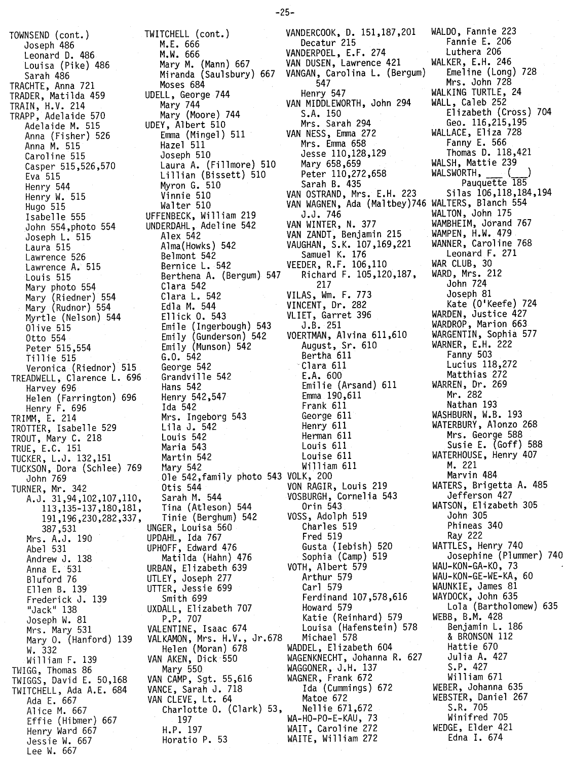TOWNSEND (cont.) Joseph 486 Leonard D. 486 Louisa (Pike) 486 Sarah 486 TRACHTE, Anna 721 TRADER, Matilda 459 TRAIN, H.V. 214 TRAPP, Adelaide 570 Adelaide M. 515 Anna (Fisher) 526 Anna M. 515 Caroline 515 Casper 515,526,570 Eva 515 Henry 544 Henry W. 515 Hugo 515 Isabe11e 555 John 554,photo 554 Joseph L. 515 Laura 515 Lawrence 526 Lawrence A. 515 Louis 515 Mary photo 554 Mary (Riedner) 554 Mary (Rudnor) 554 Myrtle (Nelson) 544 Olive 515 Otto 554 Peter 515,554 Tillie 515 Veronica (Riednor) 515 TREADWELL, Clarence L. 696 Harvey 696 Helen (Farrington) 696 Henry F. 696 TRIMM, E. 214 TROTTER, Isabelle 529 TROUT, Mary C. 218 TRUE, E.C. 151 TUCKER, L.J. 132,151 TUCKSON, Dora (Schlee) 769 John 769 TURNER, Mr. 342 A.J. 31,94,102,107,110, 113,135-137,180,181, 191,196,230,282,337, 387,531 Mrs. A.J. 190 Abel 531 Andrew J. 138 Anna E. 531 Bluford 76 Ellen B. 139 Frederick J. 139 "Jack" 138 Joseph W. 81 Mrs. Mary 531 Mary O. (Hanford) 139 W. 332 Wi11iam F. 139 TWIGG, Thomas 86 TWIGGS, David E. 50,168 TWITCHELL, Ada A.E. 684 Ada E. 667 Al ice M. 667 Effie (Hibmer) 667 Henry Ward 667 Jessie W. 667 Lee W. 667

TWITCHELL (cont.) VANDERCOOK, D. 151,187,201 WALDO, Fannie 223 Miranda (Saulsbury) 667 VANGAN, Carolina L. (Bergum) Emeline (Long) 728 UDELL, George 744 Henry 547 Henry 547 WALKING TURTLE,<br>252 Mary 744 WAN MIDDLEWORTH, John 294 WALL, Caleb 252 UDEY, Albert 510 Mrs. Sarah 294 Geo. 116,215,195 Emma (Mingel) 511 VAN NESS, Emma 2<br>Hazel 511 Mrs. Emma 658 Lillian (Bissett) 510 Peter 110,272,658 WALSWORTH, () UFFENBECK, William 219 J.J. 746<br>
UNDERDAHL, Adeline 542 VAN WINTER, N. 377 WAMBHEIM, Jorand UNDERDAHL, Adeline 542 VAN WINTER, N. 377 WAMBHEIM, Jorand 767<br>Alex 542 VAN ZANDT, Benjamin 215 WAMPEN, H.W. 479 Clara L. 542 VILAS, Wm. F. 773<br>Edla M. 544 VINCENT, Dr. 282 Hans 542 Emilie (Arsand) 611 WARREN, Dr. 269 Ida 542 Frank 611 Nathan 193 UNGER, Louisa 560 Charles 519 Phineas 340 UPDAHL, Ida 767 Fred 519 Ray 222 UPHOFF, Edward 476 Gusta (Iebish) 520 WATTLES, Henry 740 URBAN, Elizabeth 639 VOTH, Albert 579 WAU-KON-GA-KO, 73 UTLEY, Joseph 277 Arthur 579 WAU-KON-GE-WE-KA,60 UTTER, Jessie 699 Carl 579 WAUNKIE, James 81 UXDALL, Elizabeth 707 Howard 579 Lola (Bartholomew) 635 VALENTINE, Isaac 674 Louisa (Hafenstein) 578 Benjamin L. 186 VALKAMON, Mrs. H.V., Jr.678 Michael 578 & BRONSON & BRONSON<br>Helen (Moran) 678 WADDEL. Elizabeth 604 Hattie 670 VAN AKEN, Dick 550 WAGENKNECHT, Johanna R. 627 Julia A. 427 VAN CAMP, Sgt. 55,616 WAGNER, Frank 672 William 671 VANCE, Sarah J. 718 Ida (Cummings) 672 WEBER, Johanna 635 VANCE, Sarah J. 718 Ida (Cummings) 672 WEBER, Johanna 635<br>VAN CLEVE, Lt. 64 Matoe 672 WEBSTER, Daniel 267<br>Charlotte O. (Clark) 53, Nelli Horatio P. 53 WAITE, William 272

M.E. 666 Decatur 215 Fannie E. 206 M.W. 666 VANDERPOEL, E.F. 274 Luthera 206 VAN DUSEN, Lawrence 421 WALKER, E.H. 246<br>VANGAN, Carolina L. (Bergum) Emeline (Long) 728 Moses 684 547 Mrs. John 728 Mary 744 VAN MIDDLEWORTH, John 294 WALL, Caleb 252 Mary (Moore) 744 S.A. 150 Elizabeth (Cross) 704 Hazel 511 Mrs. Emma 658 Fanny E. 566 Joseph 510 Jesse 110,128,129 Thomas D. 118,421 Laura A. (Fillmore) 510 Mary 658,659<br>
Lillian (Bissett) 510 Peter 110,272,658 WALSWORTH, (1998)<br>
Myron G. 510 Sarah B. 435 Sarah B. 435 Myron G. 510 Sarah B. 435 Pauquette 185 Vinnie 510 VAN OSTRAND, Mrs. E.H. 223 Silas 106,118,184,194 Walter 510 VAN WAGNEN, Ada (Maltbey)746 WALTERS, Blanch 554 Alex 542 VAN ZANDT, Benjamin 215 WAMPEN, H.W. 479 Alma(Howks) 542 VAUGHAN, S.K. 107,169,221 WANNER, Caroline 7<br>Relmont 542 Samuel K. 176 Leonard F. 271 Samuel K. 176 Leonard F. Leonard F. 271 Leonard F. 271 Leonard F. 271 Leonard F. 271 Leonard F. 271 Leonard F.<br>Bernice L. 542 VEEDER, R.F. 106,110 WAR CLUB, 30 Bernice L. 542 <br>Bernice L. 542 <br>Berthena A. (Bergum) 547 Richard F. 105,120,187, WARD, Mrs. 212 Berthena A. (Bergum) 547 Richard F. 105,120,187, WARD, Mrs. 212 Clara 542 217 John 724 Edla M. 544 VINCENT, Dr. 282 Kate (O'Keefe) 724 Ellick O. 543 VLIET, Garret 396 WARDEN, Justice 427 Emile (Ingerbough) 543 J.B. 251 WARDROP, Marion 663 Emily (Gunderson) 542 VOERTMAN, Alvina 611,610 WARGENTIN, Sophia 577 Emily (Munson) 542 August, Sr. 610 WARNER, E.H. 222 G.O. 542 (a.e. of the Bertha 611 of the Fanny 503 (a.e. of the Bertha 611 of the Bertha Fanny 503 (a.e. of the<br>George 542 (a.e. of the Fanny Fanny Fanny Fanny 503 (a.e. of the Fanny Fanny Fanny Fanny Fanny Fanny Fanny Fan George 542 - Clara 611 - Lucius 118,2<br>Grandville 542 - E.A. 600 - Matthias 272 Grandville 542 E.A. 600 Matthias 272 Henry 542,547 Emma 190,611 Mr. 282 Mrs. Ingeborg 543 George 611 WASHBURN, W.B. 193 Lila J. 542 Henry 611 WATERBURY, Alonzo 268 Louis 542 Herman 611 Mrs. George 588 Maria 543<br>
Martin 542 Louis 611 Louis 611 Susie E. (Goff) 588<br>
Martin 542 Louise 611 WATERHOUSE, Henry 407 Martin 542 Louise 611 Martin 542<br>Martin 542 Louise 611 Martin 542 Martin 542 ~1ary542 William 611 M.221 Ole 542,family photo 543 VOLK, 200 Marvin 484 Otis 544 VON RAGIR, Louis 219 WATERS, Brigetta A. 485 Sarah M. 544 VOSBURGH, Cornelia 543 Jefferson 427 Tina (Atleson) 544 Orin 543 WATSON, Elizabeth 305 Tinie (Berghum) 542 VOSS, Adolph 519 Joh~ 305 Matilda (Hahn) 476 Sophia (Camp) 519 Josephine (Plummer) 740 Smith 699 Ferdinand 107,578,616 WAYDOCK, John 635 P.P. 707 Katie (Reinhard) 579 WEBB, B.M. 428 Helen (Moran) 678 WADDEL, Elizabeth 604 Hattie 670 Mary 550 WAGGONER,J.H. 137 S.P. 427<br>| CAMP, Sqt. 55.616 WAGNER,Frank 672 William 671 Charlotte O. (Clark) 53, Nellie 671,672 S.R. 705 197 WA-HO-PO-E-KAU, 73 Winifred 705 H.P. 197 WAIT, Caroline 272 WEDGE, Elder 421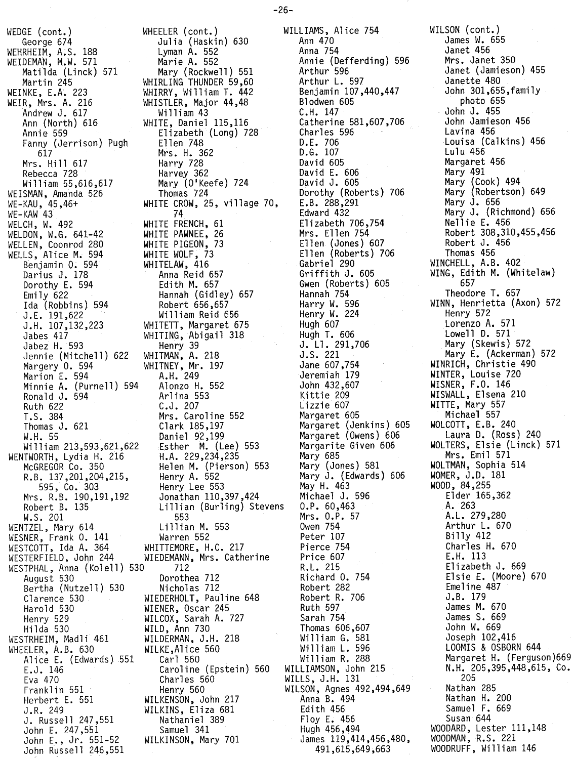WEDGE (cont.) George 674 WEHRHEIM, A.S. 188 WEIDEMAN, M.W. 571 Matilda (Linck) 571 Martin 245<br>WEINKE, E.A. 223 WEINKE, E.A. 223 WEIR, Mrs. A. 216 Andrew J. 617 Ann (North) 616 Annie 559 Fanny (Jerrison) Pugh<br>617 617 Mrs. Hill 617 Rebecca 728 William 55,616,617 WEISMAN, Amanda 526 WE-KAU, 45,46+ WE-KAW 43 WELCH, W. 492 WELDON, W.G. 641-42 WELLEN, Coonrod 280 WELLS, Alice M. 594 Benjamin o. 594 Darius J. 178 Dorothy E. 594 Emily 622 Ida (Robbins) 594 J.E. 191,622 J.H. 107,132,223 Jabes 417 Jabez H. 593 Jennie (Mitchell) 622 Margery O. 594 Marion E. 594 Minnie A. (Purnell) 594 Ronald J. 594 Ruth 622 T.S. 384 Thomas J. 621 W.H. 55 William 213,593,621,622 WENTWORTH, Lydia H. 216 McGREGOR Co. 350 R.B. 137,201,204,215, 595, Co. 303 Mrs. R.B. 190,191,192 Robert B. 135 W.S. 201 WENTZEL, Mary 614 WESNER, Frank O. 141 WESTCOTT, Ida A. 364 WESTERFIELD, John 244 WESNER, Frank 0. 141 (Warren 552)<br>
WESTCOTT, Ida A. 364 (WHITTEMORE, H.C. 217<br>
WESTERFIELD, John 244 (WIEDEMANN, Mrs. Catherine<br>
WESTPHAL, Anna (Kolell) 530 712 August 530 Bertha (Nutzell) 530 Clarence 530 Harold 530 Henry 529 Hilda 530 WESTRHEIM, Madli 461 WHEELER, A.B. 630 Alice E. (Edwards) 551 Carl 560 E.J. 146 Eva 470 Franklin 551 Herbert E. 551 J.R. 249 J. Russell 247,551 John E. 247,551 John E., Jr. 551-52 John Russell 246,551

WHEELER (cont.)<br>Julia (Haskin) 630 Julia (Haskin) 630 Lyman A. 552 Marie A. 552 Mary (Rockwell) 551 WHIRLING THUNDER 59,60 WHIRRY, William T. 442 WHISTLER, Major 44,48 Wi 11iam 43 WHITE, Daniel 115,116 Elizabeth (Long) 728 Ellen 748 Mrs. H. 362 Harry 728 Harvey 362 Mary (O'Keefe) 724 Inomas 724 WHITE CROW, 25, village 70, 74 WHIIL FRENCH, 61 WHITE PAWNEE, 26 WHITE PIGEON, 73 WHITE WOLF, 73 WHITELAW, 416 Anna Reid 657 Edith M. 657 Hannah (Gidley) 657 /Robert 656,65 William Reid 656 WHITETT, Margaret 675 WHITING, Abigail 318 Henry 39 WHITMAN, A. 218 WHITNEY, Mr. 197 A.H. 249 Alonzo H. 552 Arlina 553 C.J. 207 Mrs. Caroline 552 Clark 185,197 Daniel 92,199 Esther M. (Lee) 553 H.A. 229,234,235 Helen M. (Pierson) 553 Henry A. 552 Henry Lee 553 Jonathan 110,397,424 Lillian (Burling) Stevens 553 Lillian M. 553 Warren 552 WHITTEMORE, H.C. 217 WIEDEMANN, Mrs. Catherine 530 712 R.L. 215 Dorothea 712 Nicholas 712 WIEDERHOLT, Pauline 648 WIENER, Oscar 245 WILCOX, Sarah A. 727 WILD, Ann 730 WILDERMAN, J.H. 218 WILKE,Alice 560 Caroline (Epstein) 560 WILLIAMSON, John 215 Charles 560 Henry 560 WILKENSON, John 217 WILKINS, Eliza 681 Nathaniel 389 Samuel 341 WILKINSON, Mary 701

WILLIAMS, Alice 754 WILSON (cont.) Ann 470 Anna 754 Annie (Defferding) 596 Arthur 596 Arthur L. 597 Benjamin 107,440,447 Blodwen 605 C.H. 147 Catherine 581,607,706 Charles 596 D.E. 706 D.G. 107 David 605 David E. 606 David J. 605 Dorothy (Roberts) 706 E.B. 288,291 Edward 432 Elizabeth 706,754 Mrs. Ellen 754 Ellen (Jones) 607 Ellen (Roberts) 706 Gabriel 290 Griffith J. 605 Gwen (Roberts) 605 Hannah 754 Harry W. 596 Henry W. 224 Hugh 607 Hugh T. 606 J. Ll. 291,706 J.S. 221 Jane 607,754 Jeremiah 179 John 432,607 Kittie 209 Lizzie 607 Margaret 605 Margaret (Jenkins) 605 Margaret (Owens) 606 Margarite Given 606 Mary 685 Mary (Jones) 581 Mary J. (Edwards) 606 May H. 463 Michael J. 596 O.P. 60,463 Mrs. O.P. 57 Owen 754 Peter 107 Pierce 754 Price 607 Price 607<br>R.L. 215<br>Richard O. 754<br>Robert 282 Robert 282 Robert R. 706 Ruth 597 Sarah 754 Thomas 606,607 William G. 581 Wi 11iam L. 596 William R. 288 WILLS, J.H. 131 WILSON, Agnes 492,494,649 Anna B. 494 Edith 456 Floy E. 456 Hugh 456,494 James 119,414,456,480, 491,615,649,663

James W. 655 Janet 456 Mrs. Janet 350 Janet (Jamieson) 455 Janette 480 John 301,655,family photo 655 John J. 455 John Jamieson 456 Lavina 456 Louisa (Calkins) 456 Lulu 456 Margaret 456 Mary 491 Mary (Cook) 494 Mary (Robertson) 649 Mary J. 656 Mary J. (Richmond) 656 Nellie E. 456 Robert 308,310,455,456 Robert J. 456 Thomas 456 WINCHELL, A.B. 402 WING, Edith M. (Whitelaw) 657 Theodore T. 657 WINN, Henrietta (Axon) 572 Henry 572 Lorenzo A. 571 Lowell D. 571 Mary (Skewis) 572 Mary E. (Ackerman) 572 WINRICH, Christie 490 WINTER, Louise 720 WISNER, F.O. 146 WISWALL, Elsena 210 WITTE, Mary 557 Michael 557 WOLCOTT, E.B. 240 Laura D. (Ross) 240 WOLTERS, Elsie (Linck) 571 Mrs. Emil 571 WOLTMAN, Sophia 514 WOMER, J.D. 181 WOOD, 84,255 Elder 165,362 A. 263 A.L. 279,280 Arthur L. 670 Billy 412 Charles H. 670 E.H. 113 Elizabeth J. 669 Elsie E. (Moore) 670 Emeline 487 J.B. 179 James M. 670 James S. 669 John W. 669 Joseph 102,416 LOOMIS & OSBORN <sup>644</sup> Margaret H. (Ferguson)669 N.H. 205,395,448,615, Co. 205 Nathan 285 Nathan H. 200 Samuel F. 669 Susan 644 WOODARD, Lester 111,148 WOODMAN, R.S. 221 WOODRUFF, William 146